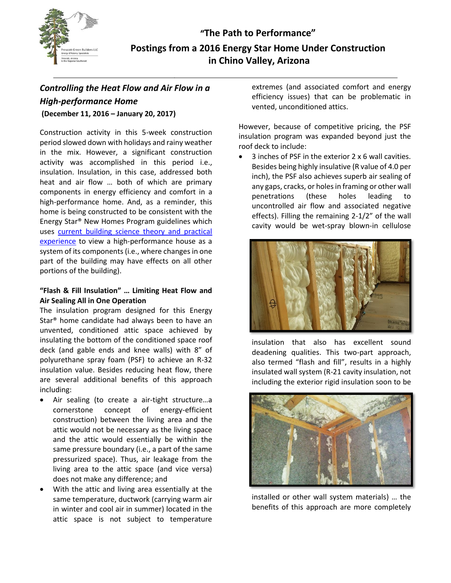

## **The Path to Performance" Postings from a 2016 Energy Star Home Under Construction in Chino Valley, Arizona**

## *Controlling the Heat Flow and Air Flow in a High-performance Home* **(December 11, 2016 – January 20, 2017)**

Construction activity in this 5-week construction period slowed down with holidays and rainy weather in the mix. However, a significant construction activity was accomplished in this period i.e., insulation. Insulation, in this case, addressed both heat and air flow … both of which are primary components in energy efficiency and comfort in a high-performance home. And, as a reminder, this home is being constructed to be consistent with the Energy Star® New Homes Program guidelines which uses [current building science theory and practical](https://www.energystar.gov/ia/partners/bldrs_lenders_raters/downloads/ENERGY_STAR_V3_Building_Science.pdf)  [experience](https://www.energystar.gov/ia/partners/bldrs_lenders_raters/downloads/ENERGY_STAR_V3_Building_Science.pdf) to view a high-performance house as a system of its components (i.e., where changes in one part of the building may have effects on all other portions of the building).

## **"Flash & Fill Insulation" … Limiting Heat Flow and Air Sealing All in One Operation**

The insulation program designed for this Energy Star® home candidate had always been to have an unvented, conditioned attic space achieved by insulating the bottom of the conditioned space roof deck (and gable ends and knee walls) with 8" of polyurethane spray foam (PSF) to achieve an R-32 insulation value. Besides reducing heat flow, there are several additional benefits of this approach including:

- Air sealing (to create a air-tight structure…a cornerstone concept of energy-efficient construction) between the living area and the attic would not be necessary as the living space and the attic would essentially be within the same pressure boundary (i.e., a part of the same pressurized space). Thus, air leakage from the living area to the attic space (and vice versa) does not make any difference; and
- With the attic and living area essentially at the same temperature, ductwork (carrying warm air in winter and cool air in summer) located in the attic space is not subject to temperature

extremes (and associated comfort and energy efficiency issues) that can be problematic in vented, unconditioned attics.

However, because of competitive pricing, the PSF insulation program was expanded beyond just the roof deck to include:

 3 inches of PSF in the exterior 2 x 6 wall cavities. Besides being highly insulative (R value of 4.0 per inch), the PSF also achieves superb air sealing of any gaps, cracks, or holes in framing or other wall penetrations (these holes leading uncontrolled air flow and associated negative effects). Filling the remaining 2-1/2" of the wall cavity would be wet-spray blown-in cellulose



insulation that also has excellent sound deadening qualities. This two-part approach, also termed "flash and fill", results in a highly insulated wall system (R-21 cavity insulation, not including the exterior rigid insulation soon to be



installed or other wall system materials) … the benefits of this approach are more completely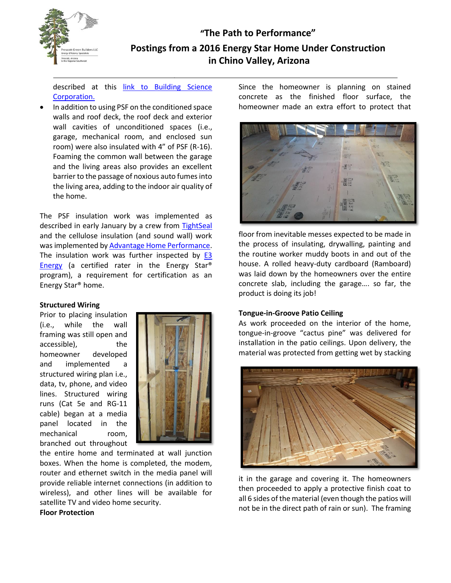

# **The Path to Performance" Postings from a 2016 Energy Star Home Under Construction in Chino Valley, Arizona**

described at this [link to Building Science](https://buildingscience.com/documents/enclosures-that-work/high-r-value-wall-assemblies/high-r-wall-flash-and-fill-hybrid-wall-construction)  [Corporation.](https://buildingscience.com/documents/enclosures-that-work/high-r-value-wall-assemblies/high-r-wall-flash-and-fill-hybrid-wall-construction)

• In addition to using PSF on the conditioned space walls and roof deck, the roof deck and exterior wall cavities of unconditioned spaces (i.e., garage, mechanical room, and enclosed sun room) were also insulated with 4" of PSF (R-16). Foaming the common wall between the garage and the living areas also provides an excellent barrier to the passage of noxious auto fumesinto the living area, adding to the indoor air quality of the home.

The PSF insulation work was implemented as described in early January by a crew from [TightSeal](http://sprayfoamspecialists.com/) and the cellulose insulation (and sound wall) work was implemented b[y Advantage Home Performance.](http://www.advantagehomeperformance.com/) The insulation work was further inspected by E3 [Energy](http://e3energyllc.com/index.php) (a certified rater in the Energy Star® program), a requirement for certification as an Energy Star® home.

#### **Structured Wiring**

Prior to placing insulation (i.e., while the wall framing was still open and accessible), the homeowner developed and implemented a structured wiring plan i.e., data, tv, phone, and video lines. Structured wiring runs (Cat 5e and RG-11 cable) began at a media panel located in the mechanical room, branched out throughout



the entire home and terminated at wall junction boxes. When the home is completed, the modem, router and ethernet switch in the media panel will provide reliable internet connections (in addition to wireless), and other lines will be available for satellite TV and video home security.

Since the homeowner is planning on stained concrete as the finished floor surface, the homeowner made an extra effort to protect that



floor from inevitable messes expected to be made in the process of insulating, drywalling, painting and the routine worker muddy boots in and out of the house. A rolled heavy-duty cardboard (Ramboard) was laid down by the homeowners over the entire concrete slab, including the garage…. so far, the product is doing its job!

#### **Tongue-in-Groove Patio Ceiling**

As work proceeded on the interior of the home, tongue-in-groove "cactus pine" was delivered for installation in the patio ceilings. Upon delivery, the material was protected from getting wet by stacking



it in the garage and covering it. The homeowners then proceeded to apply a protective finish coat to all 6 sides of the material (even though the patios will not be in the direct path of rain or sun). The framing

#### **Floor Protection**